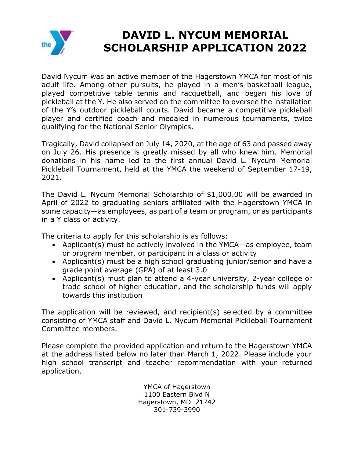

## **DAVID L. NYCUM MEMORIAL SCHOLARSHIP APPLICATION 2022**

David Nycum was an active member of the Hagerstown YMCA for most of his adult life. Among other pursuits, he played in a men's basketball league, played competitive table tennis and racquetball, and began his love of pickleball at the Y. He also served on the committee to oversee the installation of the Y's outdoor pickleball courts. David became a competitive pickleball player and certified coach and medaled in numerous tournaments, twice qualifying for the National Senior Olympics.

Tragically, David collapsed on July 14, 2020, at the age of 63 and passed away on July 26. His presence is greatly missed by all who knew him. Memorial donations in his name led to the first annual David L. Nycum Memorial Pickleball Tournament, held at the YMCA the weekend of September 17-19, 2021.

The David L. Nycum Memorial Scholarship of \$1,000.00 will be awarded in April of 2022 to graduating seniors affiliated with the Hagerstown YMCA in some capacity—as employees, as part of a team or program, or as participants in a Y class or activity.

The criteria to apply for this scholarship is as follows:

- Applicant(s) must be actively involved in the YMCA—as employee, team or program member, or participant in a class or activity
- Applicant(s) must be a high school graduating junior/senior and have a grade point average (GPA) of at least 3.0
- Applicant(s) must plan to attend a 4-year university, 2-year college or trade school of higher education, and the scholarship funds will apply towards this institution

The application will be reviewed, and recipient(s) selected by a committee consisting of YMCA staff and David L. Nycum Memorial Pickleball Tournament Committee members.

Please complete the provided application and return to the Hagerstown YMCA at the address listed below no later than March 1, 2022. Please include your high school transcript and teacher recommendation with your returned application.

> YMCA of Hagerstown 1100 Eastern Blvd N Hagerstown, MD 21742 301-739-3990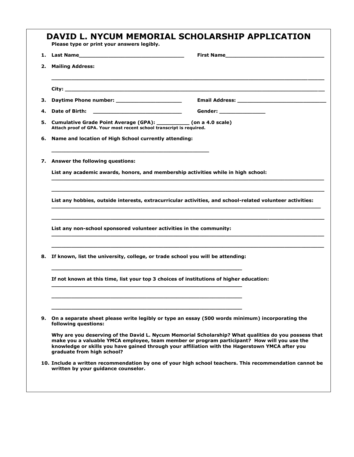| 2. | <b>Mailing Address:</b>                                                                                                                                                           |                                                                                                                                                                                                                                                                                                        |  |  |
|----|-----------------------------------------------------------------------------------------------------------------------------------------------------------------------------------|--------------------------------------------------------------------------------------------------------------------------------------------------------------------------------------------------------------------------------------------------------------------------------------------------------|--|--|
|    |                                                                                                                                                                                   |                                                                                                                                                                                                                                                                                                        |  |  |
| з. | Daytime Phone number: ________________________                                                                                                                                    |                                                                                                                                                                                                                                                                                                        |  |  |
| 4. |                                                                                                                                                                                   | Gender: _________________                                                                                                                                                                                                                                                                              |  |  |
|    | 5. Cumulative Grade Point Average (GPA): ___________ (on a 4.0 scale)<br>Attach proof of GPA. Your most recent school transcript is required.                                     |                                                                                                                                                                                                                                                                                                        |  |  |
| 6. | Name and location of High School currently attending:                                                                                                                             |                                                                                                                                                                                                                                                                                                        |  |  |
|    | 7. Answer the following questions:                                                                                                                                                |                                                                                                                                                                                                                                                                                                        |  |  |
|    | List any academic awards, honors, and membership activities while in high school:                                                                                                 |                                                                                                                                                                                                                                                                                                        |  |  |
|    | List any hobbies, outside interests, extracurricular activities, and school-related volunteer activities:<br>List any non-school sponsored volunteer activities in the community: |                                                                                                                                                                                                                                                                                                        |  |  |
|    |                                                                                                                                                                                   |                                                                                                                                                                                                                                                                                                        |  |  |
|    | 8. If known, list the university, college, or trade school you will be attending:                                                                                                 |                                                                                                                                                                                                                                                                                                        |  |  |
|    | If not known at this time, list your top 3 choices of institutions of higher education:                                                                                           |                                                                                                                                                                                                                                                                                                        |  |  |
|    |                                                                                                                                                                                   | 9. On a separate sheet please write legibly or type an essay (500 words minimum) incorporating the                                                                                                                                                                                                     |  |  |
|    | following questions:<br>graduate from high school?                                                                                                                                | Why are you deserving of the David L. Nycum Memorial Scholarship? What qualities do you possess that<br>make you a valuable YMCA employee, team member or program participant? How will you use the<br>knowledge or skills you have gained through your affiliation with the Hagerstown YMCA after you |  |  |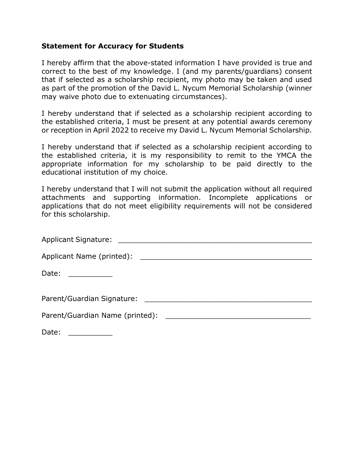## **Statement for Accuracy for Students**

I hereby affirm that the above-stated information I have provided is true and correct to the best of my knowledge. I (and my parents/guardians) consent that if selected as a scholarship recipient, my photo may be taken and used as part of the promotion of the David L. Nycum Memorial Scholarship (winner may waive photo due to extenuating circumstances).

I hereby understand that if selected as a scholarship recipient according to the established criteria, I must be present at any potential awards ceremony or reception in April 2022 to receive my David L. Nycum Memorial Scholarship.

I hereby understand that if selected as a scholarship recipient according to the established criteria, it is my responsibility to remit to the YMCA the appropriate information for my scholarship to be paid directly to the educational institution of my choice.

I hereby understand that I will not submit the application without all required attachments and supporting information. Incomplete applications or applications that do not meet eligibility requirements will not be considered for this scholarship.

| Date: ___________ |
|-------------------|
|                   |
|                   |
| Date:             |